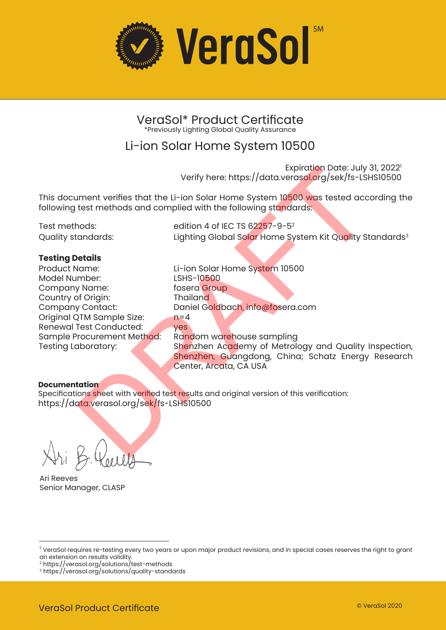

### VeraSol\* Product Certificate \*Previously Lighting Global Quality Assurance

## Li-ion Solar Home System 10500

Expiration Date: July 31, 2022<sup>1</sup> Verify here: https://data.verasol.org/sek/fs-LSHS10500

This document verifies that the Li-ion Solar Home System 10500 was tested according the following test methods and complied with the following standards:

Test methods: edition 4 of IEC TS 62257-9-5<sup>2</sup> Quality standards: Lighting Global Solar Home System Kit Quality Standards<sup>3</sup>

### **Testing Details**

Product Name: Li-ion Solar Home System 10500 Model Number: Company Name: fosera Group Country of Origin: Thailand Original QTM Sample Size: Sample Procurement Method:

Daniel Goldbach, info@fosera.com<br>n=4 Renewal Test Conducted: yes<br>Sample Procurement Method: Random warehouse sampling Testing Laboratory: Shenzhen Academy of Metrology and Quality Inspection, Shenzhen, Guangdong, China; Schatz Energy Research Center, Arcata, CA USA Verify here: https://data.verasol.org/sek/fs-LSH<br>
systems of Jesus (Exploration Date)<br>
test methods and complied with the following standards:<br>
test methods and complied with the following standards:<br>
edition 4 of IEC TS 6

### **Documentation**

Specifications sheet with verified test results and original version of this verification: https://data.verasol.org/sek/fs-LSHS10500

Ari Reeves Senior Manager, CLASP

<sup>&</sup>lt;sup>1</sup> VeraSol requires re-testing every two years or upon major product revisions, and in special cases reserves the right to grant an extension on results validity.

<sup>2</sup> https://verasol.org/solutions/test-methods

<sup>3</sup> https://verasol.org/solutions/quality-standards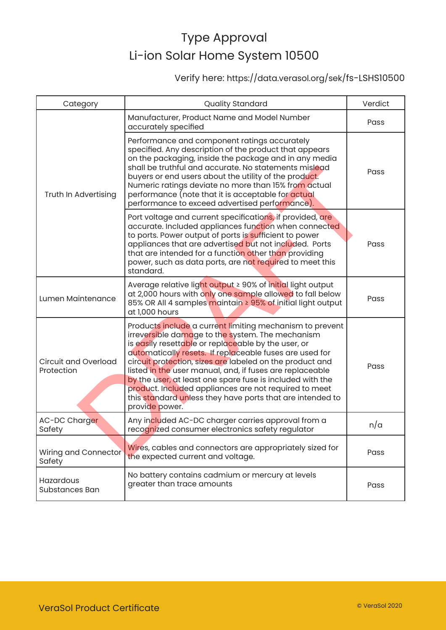## Verify here: https://data.verasol.org/sek/fs-LSHS10500

| Category                                  | <b>Quality Standard</b>                                                                                                                                                                                                                                                                                                                                                                                                                                                                                                                                     | Verdict |
|-------------------------------------------|-------------------------------------------------------------------------------------------------------------------------------------------------------------------------------------------------------------------------------------------------------------------------------------------------------------------------------------------------------------------------------------------------------------------------------------------------------------------------------------------------------------------------------------------------------------|---------|
| Truth In Advertising                      | Manufacturer, Product Name and Model Number<br>accurately specified                                                                                                                                                                                                                                                                                                                                                                                                                                                                                         | Pass    |
|                                           | Performance and component ratings accurately<br>specified. Any description of the product that appears<br>on the packaging, inside the package and in any media<br>shall be truthful and accurate. No statements mislead<br>buyers or end users about the utility of the product.<br>Numeric ratings deviate no more than 15% from actual<br>performance (note that it is acceptable for actual<br>performance to exceed advertised performance).                                                                                                           | Pass    |
|                                           | Port voltage and current specifications, if provided, are<br>accurate. Included appliances function when connected<br>to ports. Power output of ports is sufficient to power<br>appliances that are advertised but not included. Ports<br>that are intended for a function other than providing<br>power, such as data ports, are not required to meet this<br>standard.                                                                                                                                                                                    | Pass    |
| Lumen Maintenance                         | Average relative light output ≥ 90% of initial light output<br>at 2,000 hours with only one sample allowed to fall below<br>85% OR All 4 samples maintain ≥ 95% of initial light output<br>at 1,000 hours                                                                                                                                                                                                                                                                                                                                                   | Pass    |
| <b>Circuit and Overload</b><br>Protection | Products include a current limiting mechanism to prevent<br>irreversible damage to the system. The mechanism<br>is easily resettable or replaceable by the user, or<br>automatically resets. If replaceable fuses are used for<br>circuit protection, sizes are labeled on the product and<br>listed in the user manual, and, if fuses are replaceable<br>by the user, at least one spare fuse is included with the<br>product. Included appliances are not required to meet<br>this standard unless they have ports that are intended to<br>provide power. | Pass    |
| AC-DC Charger<br>Safety                   | Any included AC-DC charger carries approval from a<br>recognized consumer electronics safety regulator                                                                                                                                                                                                                                                                                                                                                                                                                                                      | n/a     |
| Wiring and Connector<br>Safety            | Wires, cables and connectors are appropriately sized for<br>the expected current and voltage.                                                                                                                                                                                                                                                                                                                                                                                                                                                               | Pass    |
| Hazardous<br>Substances Ban               | No battery contains cadmium or mercury at levels<br>greater than trace amounts                                                                                                                                                                                                                                                                                                                                                                                                                                                                              | Pass    |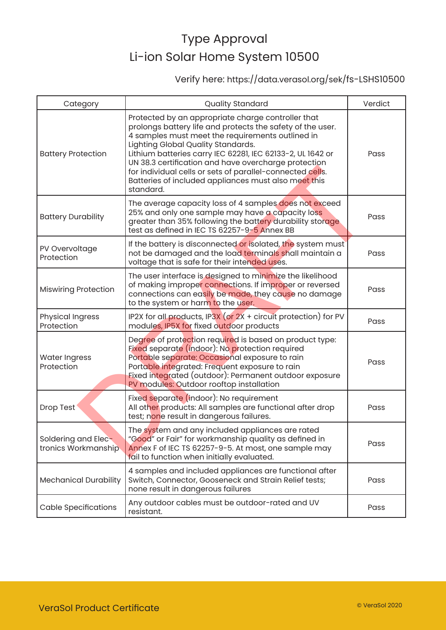## Verify here: https://data.verasol.org/sek/fs-LSHS10500

| Category                                   | <b>Quality Standard</b>                                                                                                                                                                                                                                                                                                                                                                                                                                            | Verdict |
|--------------------------------------------|--------------------------------------------------------------------------------------------------------------------------------------------------------------------------------------------------------------------------------------------------------------------------------------------------------------------------------------------------------------------------------------------------------------------------------------------------------------------|---------|
| <b>Battery Protection</b>                  | Protected by an appropriate charge controller that<br>prolongs battery life and protects the safety of the user.<br>4 samples must meet the requirements outlined in<br>Lighting Global Quality Standards.<br>Lithium batteries carry IEC 62281, IEC 62133-2, UL 1642 or<br>UN 38.3 certification and have overcharge protection<br>for individual cells or sets of parallel-connected cells.<br>Batteries of included appliances must also meet this<br>standard. | Pass    |
| <b>Battery Durability</b>                  | The average capacity loss of 4 samples does not exceed<br>25% and only one sample may have a capacity loss<br>greater than 35% following the battery durability storage<br>test as defined in IEC TS 62257-9-5 Annex BB                                                                                                                                                                                                                                            | Pass    |
| PV Overvoltage<br>Protection               | If the battery is disconnected or isolated, the system must<br>not be damaged and the load terminals shall maintain a<br>voltage that is safe for their intended uses.                                                                                                                                                                                                                                                                                             | Pass    |
| <b>Miswiring Protection</b>                | The user interface is designed to minimize the likelihood<br>of making improper connections. If improper or reversed<br>connections can easily be made, they cause no damage<br>to the system or harm to the user.                                                                                                                                                                                                                                                 | Pass    |
| <b>Physical Ingress</b><br>Protection      | IP2X for all products, IP3X (or $2X +$ circuit protection) for PV<br>modules, IP5X for fixed outdoor products                                                                                                                                                                                                                                                                                                                                                      | Pass    |
| <b>Water Ingress</b><br>Protection         | Degree of protection required is based on product type:<br>Fixed separate (indoor): No protection required<br>Portable separate: Occasional exposure to rain<br>Portable integrated: Frequent exposure to rain<br>Fixed integrated (outdoor): Permanent outdoor exposure<br>PV modules: Outdoor rooftop installation                                                                                                                                               | Pass    |
| Drop Test                                  | Fixed separate (indoor): No requirement<br>All other products: All samples are functional after drop<br>test; none result in dangerous failures.                                                                                                                                                                                                                                                                                                                   | Pass    |
| Soldering and Elec-<br>tronics Workmanship | The system and any included appliances are rated<br>"Good" or Fair" for workmanship quality as defined in<br>Annex F of IEC TS 62257-9-5. At most, one sample may<br>fail to function when initially evaluated.                                                                                                                                                                                                                                                    | Pass    |
| <b>Mechanical Durability</b>               | 4 samples and included appliances are functional after<br>Switch, Connector, Gooseneck and Strain Relief tests;<br>none result in dangerous failures                                                                                                                                                                                                                                                                                                               | Pass    |
| <b>Cable Specifications</b>                | Any outdoor cables must be outdoor-rated and UV<br>resistant.                                                                                                                                                                                                                                                                                                                                                                                                      | Pass    |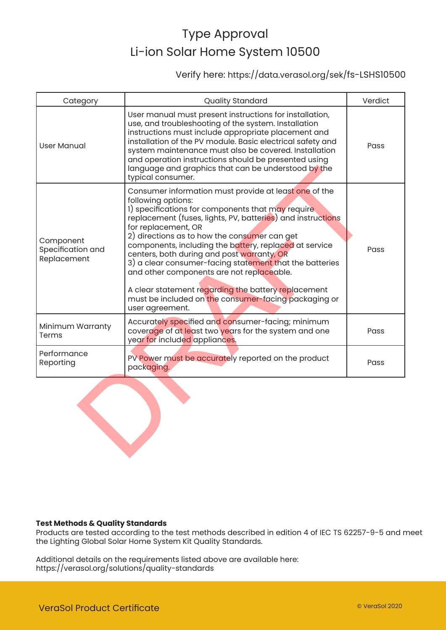### Verify here: https://data.verasol.org/sek/fs-LSHS10500

| Category                                      | <b>Quality Standard</b>                                                                                                                                                                                                                                                                                                                                                                                                                                                                                                                                                                                                  | Verdict |
|-----------------------------------------------|--------------------------------------------------------------------------------------------------------------------------------------------------------------------------------------------------------------------------------------------------------------------------------------------------------------------------------------------------------------------------------------------------------------------------------------------------------------------------------------------------------------------------------------------------------------------------------------------------------------------------|---------|
| <b>User Manual</b>                            | User manual must present instructions for installation,<br>use, and troubleshooting of the system. Installation<br>instructions must include appropriate placement and<br>installation of the PV module. Basic electrical safety and<br>system maintenance must also be covered. Installation<br>and operation instructions should be presented using<br>language and graphics that can be understood by the<br>typical consumer.                                                                                                                                                                                        | Pass    |
| Component<br>Specification and<br>Replacement | Consumer information must provide at least one of the<br>following options:<br>1) specifications for components that may require<br>replacement (fuses, lights, PV, batteries) and instructions<br>for replacement, OR<br>2) directions as to how the consumer can get<br>components, including the battery, replaced at service<br>centers, both during and post warranty, OR<br>3) a clear consumer-facing statement that the batteries<br>and other components are not replaceable.<br>A clear statement regarding the battery replacement<br>must be included on the consumer-facing packaging or<br>user agreement. | Pass    |
| Minimum Warranty<br>Terms                     | Accurately specified and consumer-facing; minimum<br>coverage of at least two years for the system and one<br>year for included appliances.                                                                                                                                                                                                                                                                                                                                                                                                                                                                              | Pass    |
| Performance<br>Reporting                      | PV Power must be accurately reported on the product<br>packaging.                                                                                                                                                                                                                                                                                                                                                                                                                                                                                                                                                        | Pass    |
|                                               |                                                                                                                                                                                                                                                                                                                                                                                                                                                                                                                                                                                                                          |         |



Products are tested according to the test methods described in edition 4 of IEC TS 62257-9-5 and meet the Lighting Global Solar Home System Kit Quality Standards.

Additional details on the requirements listed above are available here: https://verasol.org/solutions/quality-standards